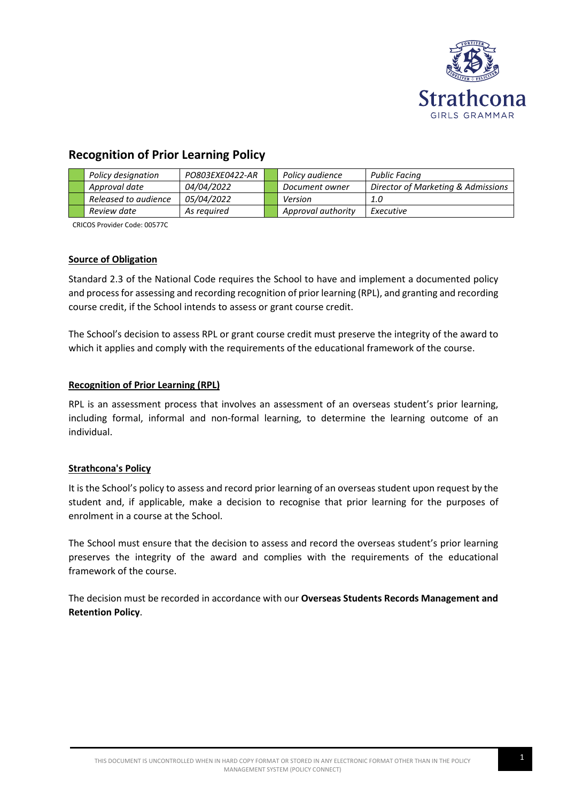

# **Recognition of Prior Learning Policy**

| Policy designation   | PO803EXE0422-AR   | Policy audience    | <b>Public Facing</b>               |
|----------------------|-------------------|--------------------|------------------------------------|
| Approval date        | 04/04/2022        | Document owner     | Director of Marketing & Admissions |
| Released to audience | <i>05/04/2022</i> | Version            | 1.0                                |
| Review date          | As reauired       | Approval authority | Executive                          |

CRICOS Provider Code: 00577C

# **Source of Obligation**

Standard 2.3 of the National Code requires the School to have and implement a documented policy and process for assessing and recording recognition of prior learning (RPL), and granting and recording course credit, if the School intends to assess or grant course credit.

The School's decision to assess RPL or grant course credit must preserve the integrity of the award to which it applies and comply with the requirements of the educational framework of the course.

# **Recognition of Prior Learning (RPL)**

RPL is an assessment process that involves an assessment of an overseas student's prior learning, including formal, informal and non-formal learning, to determine the learning outcome of an individual.

### **Strathcona's Policy**

It is the School's policy to assess and record prior learning of an overseas student upon request by the student and, if applicable, make a decision to recognise that prior learning for the purposes of enrolment in a course at the School.

The School must ensure that the decision to assess and record the overseas student's prior learning preserves the integrity of the award and complies with the requirements of the educational framework of the course.

The decision must be recorded in accordance with our **Overseas Students Records Management and Retention Policy**.